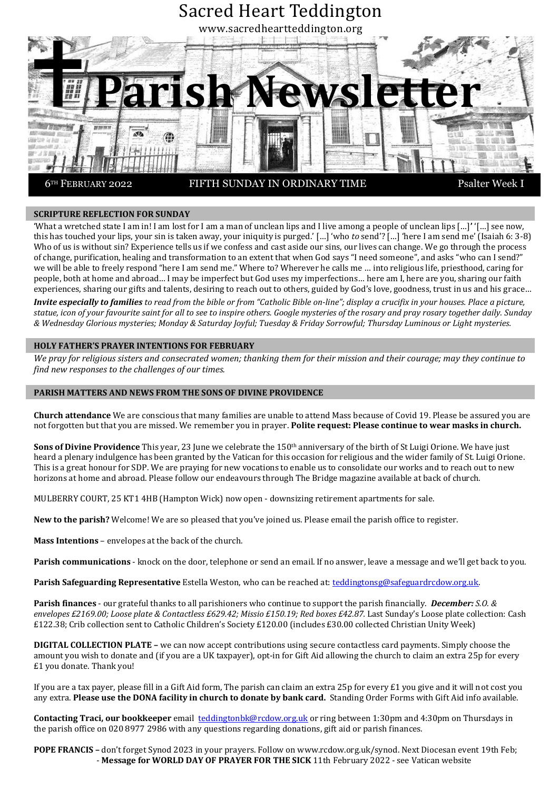

### **SCRIPTURE REFLECTION FOR SUNDAY**

'What a wretched state I am in! I am lost for I am a man of unclean lips and I live among a people of unclean lips […]**'** '[…] see now, this has touched your lips, your sin is taken away, your iniquity is purged.' […] 'who *to* send'? […] 'here I am send me' (Isaiah 6: 3-8) Who of us is without sin? Experience tells us if we confess and cast aside our sins, our lives can change. We go through the process of change, purification, healing and transformation to an extent that when God says "I need someone", and asks "who can I send?" we will be able to freely respond "here I am send me." Where to? Wherever he calls me … into religious life, priesthood, caring for people, both at home and abroad… I may be imperfect but God uses my imperfections… here am I, here are you, sharing our faith experiences, sharing our gifts and talents, desiring to reach out to others, guided by God's love, goodness, trust in us and his grace…

*Invite especially to families to read from the bible or from "Catholic Bible on-line"; display a crucifix in your houses. Place a picture, statue, icon of your favourite saint for all to see to inspire others. Google mysteries of the rosary and pray rosary together daily. Sunday & Wednesday Glorious mysteries; Monday & Saturday Joyful; Tuesday & Friday Sorrowful; Thursday Luminous or Light mysteries.*

#### **HOLY FATHER'S PRAYER INTENTIONS FOR FEBRUARY**

We pray for religious sisters and consecrated women; thanking them for their mission and their courage; may they continue to *find new responses to the challenges of our times.*

### **PARISH MATTERS AND NEWS FROM THE SONS OF DIVINE PROVIDENCE**

**Church attendance** We are conscious that many families are unable to attend Mass because of Covid 19. Please be assured you are not forgotten but that you are missed. We remember you in prayer. **Polite request: Please continue to wear masks in church.**

**Sons of Divine Providence** This year, 23 June we celebrate the 150<sup>th</sup> anniversary of the birth of St Luigi Orione. We have just heard a plenary indulgence has been granted by the Vatican for this occasion for religious and the wider family of St. Luigi Orione. This is a great honour for SDP. We are praying for new vocations to enable us to consolidate our works and to reach out to new horizons at home and abroad. Please follow our endeavours through The Bridge magazine available at back of church.

MULBERRY COURT, 25 KT1 4HB (Hampton Wick) now open - downsizing retirement apartments for sale.

**New to the parish?** Welcome! We are so pleased that you've joined us. Please email the parish office to register.

**Mass Intentions** – envelopes at the back of the church.

**Parish communications** - knock on the door, telephone or send an email. If no answer, leave a message and we'll get back to you.

**Parish Safeguarding Representative** Estella Weston, who can be reached at: [teddingtonsg@safeguardrcdow.org.uk.](mailto:teddingtonsg@safeguardrcdow.org.uk)

**Parish finances** - our grateful thanks to all parishioners who continue to support the parish financially. *December: S.O. & envelopes £2169.00; Loose plate & Contactless £629.42; Missio £150.19; Red boxes £42.87.* Last Sunday's Loose plate collection: Cash £122.38; Crib collection sent to Catholic Children's Society £120.00 (includes £30.00 collected Christian Unity Week)

**DIGITAL COLLECTION PLATE –** we can now accept contributions using secure contactless card payments. Simply choose the amount you wish to donate and (if you are a UK taxpayer), opt-in for Gift Aid allowing the church to claim an extra 25p for every £1 you donate. Thank you!

If you are a tax payer, please fill in a Gift Aid form, The parish can claim an extra 25p for every £1 you give and it will not cost you any extra. **Please use the DONA facility in church to donate by bank card.** Standing Order Forms with Gift Aid info available.

**Contacting Traci, our bookkeeper** email [teddingtonbk@rcdow.org.uk](mailto:teddingtonbk@rcdow.org.uk) or ring between 1:30pm and 4:30pm on Thursdays in the parish office on 020 8977 2986 with any questions regarding donations, gift aid or parish finances.

**POPE FRANCIS –** don't forget Synod 2023 in your prayers. Follow on [www.rcdow.org.uk/synod.](file:///C:/Users/conlokw1/Downloads/www.rcdow.org.uk/synod) Next Diocesan event 19th Feb; - **Message for WORLD DAY OF PRAYER FOR THE SICK** 11th February 2022 - see Vatican website